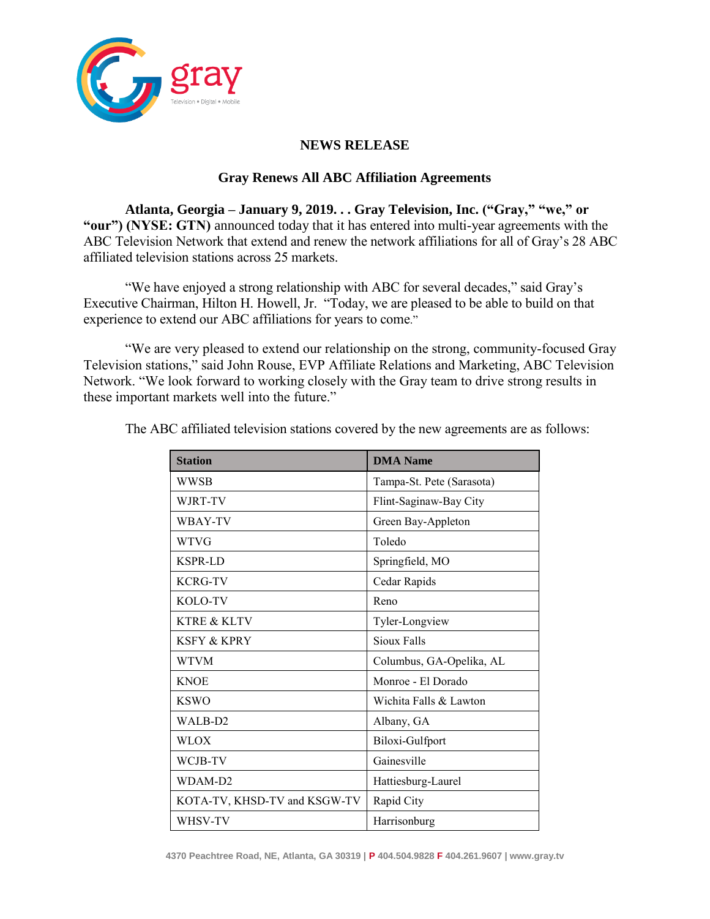

## **NEWS RELEASE**

## **Gray Renews All ABC Affiliation Agreements**

**Atlanta, Georgia – January 9, 2019. . . Gray Television, Inc. ("Gray," "we," or "our") (NYSE: GTN)** announced today that it has entered into multi-year agreements with the ABC Television Network that extend and renew the network affiliations for all of Gray's 28 ABC affiliated television stations across 25 markets.

"We have enjoyed a strong relationship with ABC for several decades," said Gray's Executive Chairman, Hilton H. Howell, Jr. "Today, we are pleased to be able to build on that experience to extend our ABC affiliations for years to come."

"We are very pleased to extend our relationship on the strong, community-focused Gray Television stations," said John Rouse, EVP Affiliate Relations and Marketing, ABC Television Network. "We look forward to working closely with the Gray team to drive strong results in these important markets well into the future."

| <b>Station</b>               | <b>DMA</b> Name           |
|------------------------------|---------------------------|
| WWSB                         | Tampa-St. Pete (Sarasota) |
| WJRT-TV                      | Flint-Saginaw-Bay City    |
| WBAY-TV                      | Green Bay-Appleton        |
| <b>WTVG</b>                  | Toledo                    |
| <b>KSPR-LD</b>               | Springfield, MO           |
| <b>KCRG-TV</b>               | Cedar Rapids              |
| KOLO-TV                      | Reno                      |
| <b>KTRE &amp; KLTV</b>       | Tyler-Longview            |
| <b>KSFY &amp; KPRY</b>       | Sioux Falls               |
| <b>WTVM</b>                  | Columbus, GA-Opelika, AL  |
| <b>KNOE</b>                  | Monroe - El Dorado        |
| <b>KSWO</b>                  | Wichita Falls & Lawton    |
| WALB-D <sub>2</sub>          | Albany, GA                |
| <b>WLOX</b>                  | Biloxi-Gulfport           |
| WCJB-TV                      | Gainesville               |
| WDAM-D2                      | Hattiesburg-Laurel        |
| KOTA-TV, KHSD-TV and KSGW-TV | Rapid City                |
| WHSV-TV                      | Harrisonburg              |

The ABC affiliated television stations covered by the new agreements are as follows: